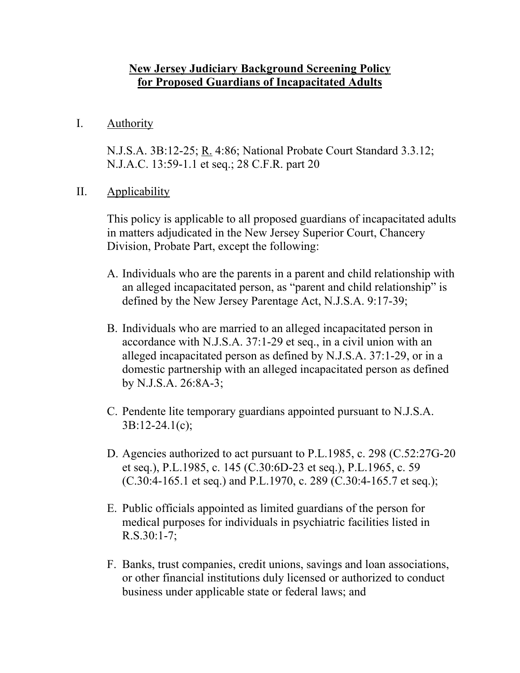## **New Jersey Judiciary Background Screening Policy for Proposed Guardians of Incapacitated Adults**

I. Authority

N.J.S.A. 3B:12-25; R. 4:86; National Probate Court Standard 3.3.12; N.J.A.C. 13:59-1.1 et seq.; 28 C.F.R. part 20

II. Applicability

This policy is applicable to all proposed guardians of incapacitated adults in matters adjudicated in the New Jersey Superior Court, Chancery Division, Probate Part, except the following:

- A. Individuals who are the parents in a parent and child relationship with an alleged incapacitated person, as "parent and child relationship" is defined by the New Jersey Parentage Act, N.J.S.A. 9:17-39;
- B. Individuals who are married to an alleged incapacitated person in accordance with N.J.S.A. 37:1-29 et seq., in a civil union with an alleged incapacitated person as defined by N.J.S.A. 37:1-29, or in a domestic partnership with an alleged incapacitated person as defined by N.J.S.A. 26:8A-3;
- C. Pendente lite temporary guardians appointed pursuant to N.J.S.A. 3B:12-24.1(c);
- D. Agencies authorized to act pursuant to P.L.1985, c. 298 (C.52:27G-20 et seq.), P.L.1985, c. 145 (C.30:6D-23 et seq.), P.L.1965, c. 59  $(C.30:4-165.1$  et seq.) and P.L.1970, c. 289  $(C.30:4-165.7$  et seq.);
- E. Public officials appointed as limited guardians of the person for medical purposes for individuals in psychiatric facilities listed in R.S.30:1-7;
- F. Banks, trust companies, credit unions, savings and loan associations, or other financial institutions duly licensed or authorized to conduct business under applicable state or federal laws; and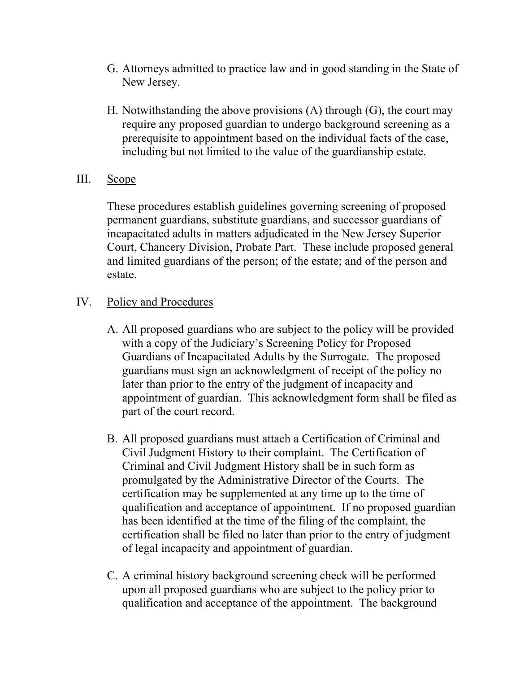- G. Attorneys admitted to practice law and in good standing in the State of New Jersey.
- H. Notwithstanding the above provisions (A) through (G), the court may require any proposed guardian to undergo background screening as a prerequisite to appointment based on the individual facts of the case, including but not limited to the value of the guardianship estate.
- III. Scope

These procedures establish guidelines governing screening of proposed permanent guardians, substitute guardians, and successor guardians of incapacitated adults in matters adjudicated in the New Jersey Superior Court, Chancery Division, Probate Part. These include proposed general and limited guardians of the person; of the estate; and of the person and estate.

- IV. Policy and Procedures
	- A. All proposed guardians who are subject to the policy will be provided with a copy of the Judiciary's Screening Policy for Proposed Guardians of Incapacitated Adults by the Surrogate. The proposed guardians must sign an acknowledgment of receipt of the policy no later than prior to the entry of the judgment of incapacity and appointment of guardian. This acknowledgment form shall be filed as part of the court record.
	- B. All proposed guardians must attach a Certification of Criminal and Civil Judgment History to their complaint. The Certification of Criminal and Civil Judgment History shall be in such form as promulgated by the Administrative Director of the Courts. The certification may be supplemented at any time up to the time of qualification and acceptance of appointment. If no proposed guardian has been identified at the time of the filing of the complaint, the certification shall be filed no later than prior to the entry of judgment of legal incapacity and appointment of guardian.
	- C. A criminal history background screening check will be performed upon all proposed guardians who are subject to the policy prior to qualification and acceptance of the appointment. The background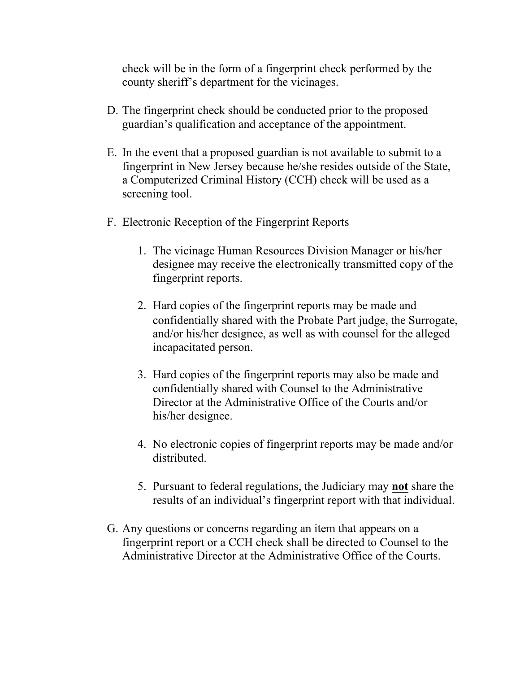check will be in the form of a fingerprint check performed by the county sheriff's department for the vicinages.

- D. The fingerprint check should be conducted prior to the proposed guardian's qualification and acceptance of the appointment.
- E. In the event that a proposed guardian is not available to submit to a fingerprint in New Jersey because he/she resides outside of the State, a Computerized Criminal History (CCH) check will be used as a screening tool.
- F. Electronic Reception of the Fingerprint Reports
	- 1. The vicinage Human Resources Division Manager or his/her designee may receive the electronically transmitted copy of the fingerprint reports.
	- 2. Hard copies of the fingerprint reports may be made and confidentially shared with the Probate Part judge, the Surrogate, and/or his/her designee, as well as with counsel for the alleged incapacitated person.
	- 3. Hard copies of the fingerprint reports may also be made and confidentially shared with Counsel to the Administrative Director at the Administrative Office of the Courts and/or his/her designee.
	- 4. No electronic copies of fingerprint reports may be made and/or distributed.
	- 5. Pursuant to federal regulations, the Judiciary may **not** share the results of an individual's fingerprint report with that individual.
- G. Any questions or concerns regarding an item that appears on a fingerprint report or a CCH check shall be directed to Counsel to the Administrative Director at the Administrative Office of the Courts.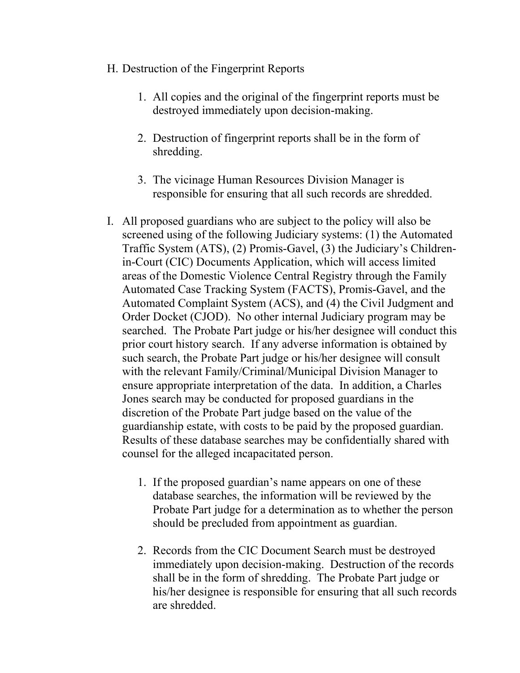- H. Destruction of the Fingerprint Reports
	- 1. All copies and the original of the fingerprint reports must be destroyed immediately upon decision-making.
	- 2. Destruction of fingerprint reports shall be in the form of shredding.
	- 3. The vicinage Human Resources Division Manager is responsible for ensuring that all such records are shredded.
- I. All proposed guardians who are subject to the policy will also be screened using of the following Judiciary systems: (1) the Automated Traffic System (ATS), (2) Promis-Gavel, (3) the Judiciary's Childrenin-Court (CIC) Documents Application, which will access limited areas of the Domestic Violence Central Registry through the Family Automated Case Tracking System (FACTS), Promis-Gavel, and the Automated Complaint System (ACS), and (4) the Civil Judgment and Order Docket (CJOD). No other internal Judiciary program may be searched. The Probate Part judge or his/her designee will conduct this prior court history search. If any adverse information is obtained by such search, the Probate Part judge or his/her designee will consult with the relevant Family/Criminal/Municipal Division Manager to ensure appropriate interpretation of the data. In addition, a Charles Jones search may be conducted for proposed guardians in the discretion of the Probate Part judge based on the value of the guardianship estate, with costs to be paid by the proposed guardian. Results of these database searches may be confidentially shared with counsel for the alleged incapacitated person.
	- 1. If the proposed guardian's name appears on one of these database searches, the information will be reviewed by the Probate Part judge for a determination as to whether the person should be precluded from appointment as guardian.
	- 2. Records from the CIC Document Search must be destroyed immediately upon decision-making. Destruction of the records shall be in the form of shredding. The Probate Part judge or his/her designee is responsible for ensuring that all such records are shredded.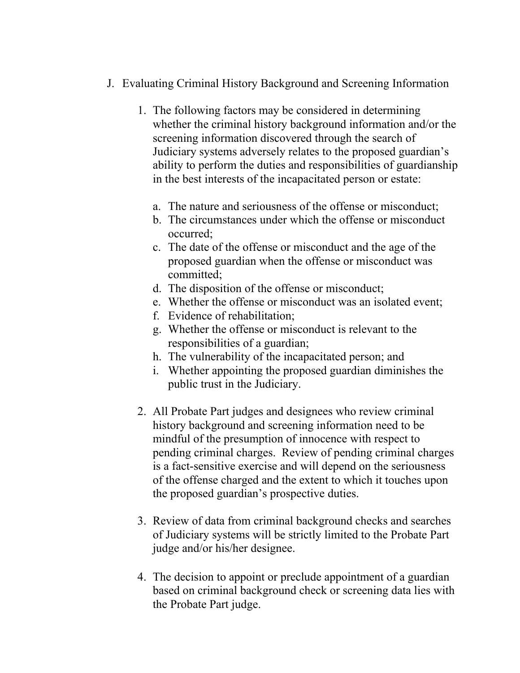- J. Evaluating Criminal History Background and Screening Information
	- 1. The following factors may be considered in determining whether the criminal history background information and/or the screening information discovered through the search of Judiciary systems adversely relates to the proposed guardian's ability to perform the duties and responsibilities of guardianship in the best interests of the incapacitated person or estate:
		- a. The nature and seriousness of the offense or misconduct;
		- b. The circumstances under which the offense or misconduct occurred;
		- c. The date of the offense or misconduct and the age of the proposed guardian when the offense or misconduct was committed;
		- d. The disposition of the offense or misconduct;
		- e. Whether the offense or misconduct was an isolated event;
		- f. Evidence of rehabilitation;
		- g. Whether the offense or misconduct is relevant to the responsibilities of a guardian;
		- h. The vulnerability of the incapacitated person; and
		- i. Whether appointing the proposed guardian diminishes the public trust in the Judiciary.
	- 2. All Probate Part judges and designees who review criminal history background and screening information need to be mindful of the presumption of innocence with respect to pending criminal charges. Review of pending criminal charges is a fact-sensitive exercise and will depend on the seriousness of the offense charged and the extent to which it touches upon the proposed guardian's prospective duties.
	- 3. Review of data from criminal background checks and searches of Judiciary systems will be strictly limited to the Probate Part judge and/or his/her designee.
	- 4. The decision to appoint or preclude appointment of a guardian based on criminal background check or screening data lies with the Probate Part judge.